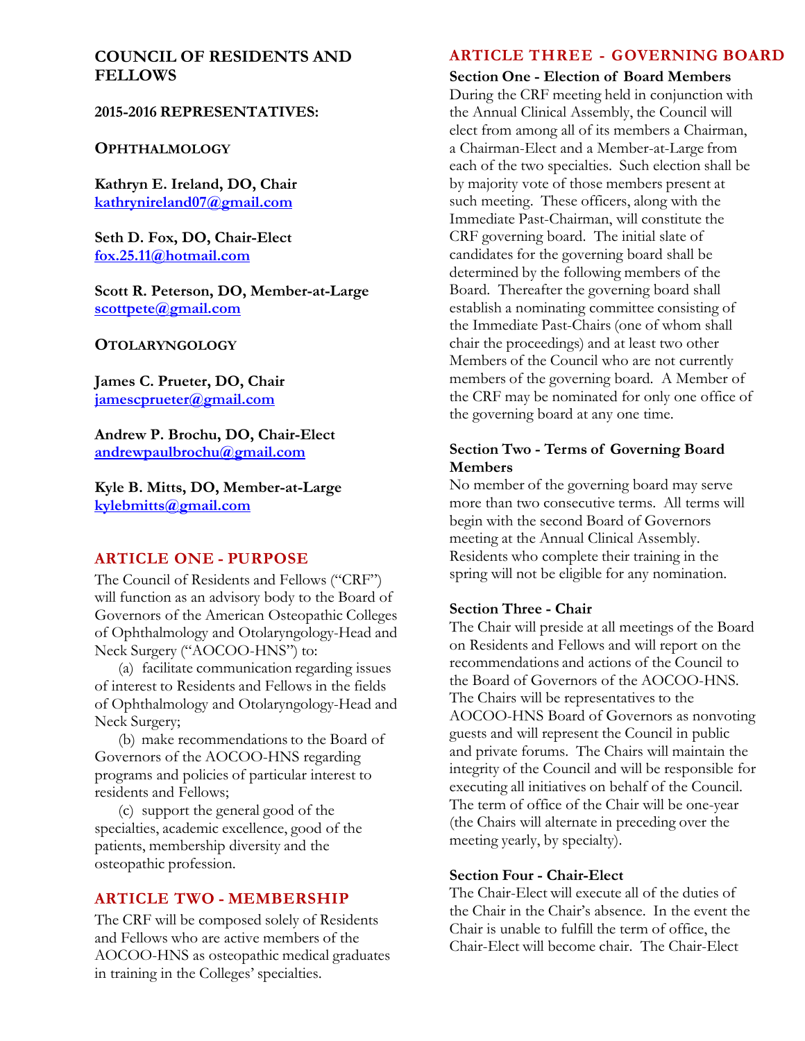# **COUNCIL OF RESIDENTS AND FELLOWS**

### **2015-2016 REPRESENTATIVES:**

#### **OPHTHALMOLOGY**

**Kathryn E. Ireland, DO, Chair kathrynireland07@gmail.com** 

**Seth D. Fox, DO, Chair-Elect fox.25.11@hotmail.com** 

**Scott R. Peterson, DO, Member-at-Large scottpete@gmail.com** 

#### **OTOLARYNGOLOGY**

**James C. Prueter, DO, Chair jamescprueter@gmail.com** 

**Andrew P. Brochu, DO, Chair-Elect andrewpaulbrochu@gmail.com** 

**Kyle B. Mitts, DO, Member-at-Large kylebmitts@gmail.com** 

### **ARTICLE ONE - PURPOSE**

The Council of Residents and Fellows ("CRF") will function as an advisory body to the Board of Governors of the American Osteopathic Colleges of Ophthalmology and Otolaryngology-Head and Neck Surgery ("AOCOO-HNS") to:

(a) facilitate communication regarding issues of interest to Residents and Fellows in the fields of Ophthalmology and Otolaryngology-Head and Neck Surgery;

(b) make recommendations to the Board of Governors of the AOCOO-HNS regarding programs and policies of particular interest to residents and Fellows;

(c) support the general good of the specialties, academic excellence, good of the patients, membership diversity and the osteopathic profession.

### **ARTICLE TWO - MEMBERSHIP**

The CRF will be composed solely of Residents and Fellows who are active members of the AOCOO-HNS as osteopathic medical graduates in training in the Colleges' specialties.

# **ARTICLE THREE - GOVERNING BOARD**

**Section One - Election of Board Members** 

During the CRF meeting held in conjunction with the Annual Clinical Assembly, the Council will elect from among all of its members a Chairman, a Chairman-Elect and a Member-at-Large from each of the two specialties. Such election shall be by majority vote of those members present at such meeting. These officers, along with the Immediate Past-Chairman, will constitute the CRF governing board. The initial slate of candidates for the governing board shall be determined by the following members of the Board. Thereafter the governing board shall establish a nominating committee consisting of the Immediate Past-Chairs (one of whom shall chair the proceedings) and at least two other Members of the Council who are not currently members of the governing board. A Member of the CRF may be nominated for only one office of the governing board at any one time.

### **Section Two - Terms of Governing Board Members**

No member of the governing board may serve more than two consecutive terms. All terms will begin with the second Board of Governors meeting at the Annual Clinical Assembly. Residents who complete their training in the spring will not be eligible for any nomination.

### **Section Three - Chair**

The Chair will preside at all meetings of the Board on Residents and Fellows and will report on the recommendations and actions of the Council to the Board of Governors of the AOCOO-HNS. The Chairs will be representatives to the AOCOO-HNS Board of Governors as nonvoting guests and will represent the Council in public and private forums. The Chairs will maintain the integrity of the Council and will be responsible for executing all initiatives on behalf of the Council. The term of office of the Chair will be one-year (the Chairs will alternate in preceding over the meeting yearly, by specialty).

### **Section Four - Chair-Elect**

The Chair-Elect will execute all of the duties of the Chair in the Chair's absence. In the event the Chair is unable to fulfill the term of office, the Chair-Elect will become chair. The Chair-Elect